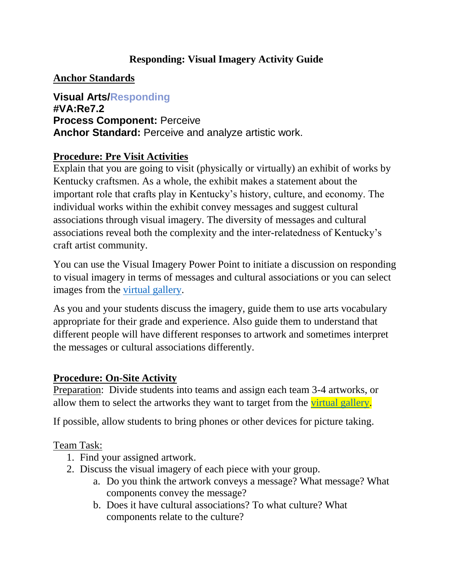#### **Responding: Visual Imagery Activity Guide**

#### **Anchor Standards**

**Visual Arts/Responding #VA:Re7.2 Process Component:** Perceive **Anchor Standard:** Perceive and analyze artistic work.

#### **Procedure: Pre Visit Activities**

Explain that you are going to visit (physically or virtually) an exhibit of works by Kentucky craftsmen. As a whole, the exhibit makes a statement about the important role that crafts play in Kentucky's history, culture, and economy. The individual works within the exhibit convey messages and suggest cultural associations through visual imagery. The diversity of messages and cultural associations reveal both the complexity and the inter-relatedness of Kentucky's craft artist community.

You can use the Visual Imagery Power Point to initiate a discussion on responding to visual imagery in terms of messages and cultural associations or you can select images from the [virtual gallery.](http://kchea.org/craft_luminary_exhibit/exhibit_gallery)

As you and your students discuss the imagery, guide them to use arts vocabulary appropriate for their grade and experience. Also guide them to understand that different people will have different responses to artwork and sometimes interpret the messages or cultural associations differently.

#### **Procedure: On-Site Activity**

Preparation: Divide students into teams and assign each team 3-4 artworks, or allow them to select the artworks they want to target from the [virtual gallery.](https://www.kchea.org/exhibitgallery)

If possible, allow students to bring phones or other devices for picture taking.

#### Team Task:

- 1. Find your assigned artwork.
- 2. Discuss the visual imagery of each piece with your group.
	- a. Do you think the artwork conveys a message? What message? What components convey the message?
	- b. Does it have cultural associations? To what culture? What components relate to the culture?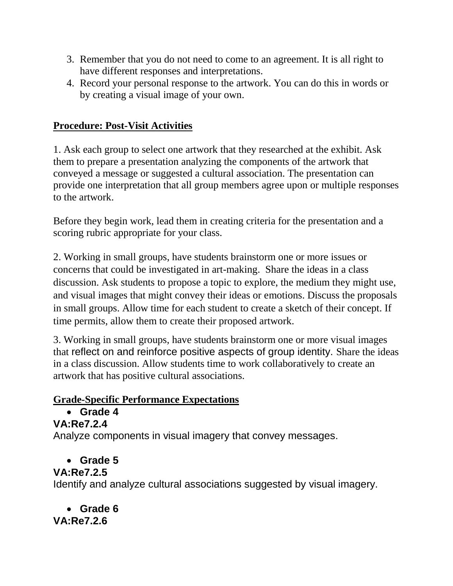- 3. Remember that you do not need to come to an agreement. It is all right to have different responses and interpretations.
- 4. Record your personal response to the artwork. You can do this in words or by creating a visual image of your own.

#### **Procedure: Post-Visit Activities**

1. Ask each group to select one artwork that they researched at the exhibit. Ask them to prepare a presentation analyzing the components of the artwork that conveyed a message or suggested a cultural association. The presentation can provide one interpretation that all group members agree upon or multiple responses to the artwork.

Before they begin work, lead them in creating criteria for the presentation and a scoring rubric appropriate for your class.

2. Working in small groups, have students brainstorm one or more issues or concerns that could be investigated in art-making. Share the ideas in a class discussion. Ask students to propose a topic to explore, the medium they might use, and visual images that might convey their ideas or emotions. Discuss the proposals in small groups. Allow time for each student to create a sketch of their concept. If time permits, allow them to create their proposed artwork.

3. Working in small groups, have students brainstorm one or more visual images that reflect on and reinforce positive aspects of group identity. Share the ideas in a class discussion. Allow students time to work collaboratively to create an artwork that has positive cultural associations.

#### **Grade-Specific Performance Expectations**

# **Grade 4**

**VA:Re7.2.4**

Analyze components in visual imagery that convey messages.

**Grade 5**

#### **VA:Re7.2.5**

Identify and analyze cultural associations suggested by visual imagery.

 **Grade 6 VA:Re7.2.6**